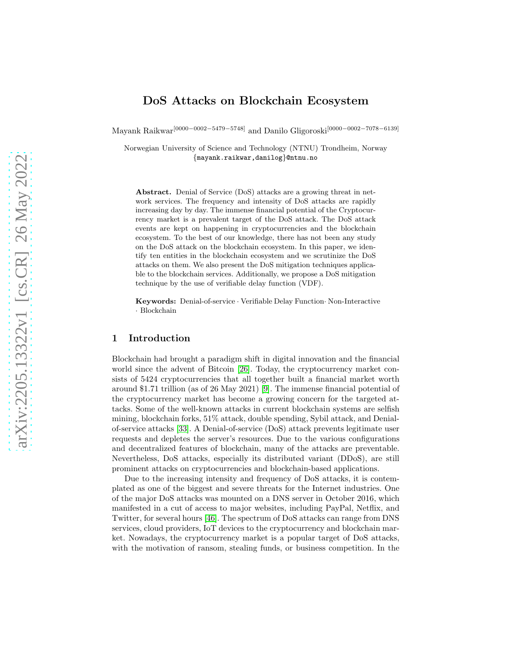# DoS Attacks on Blockchain Ecosystem

Mayank Raikwar[0000−0002−5479−5748] and Danilo Gligoroski[0000−0002−7078−6139]

Norwegian University of Science and Technology (NTNU) Trondheim, Norway {mayank.raikwar,danilog}@ntnu.no

Abstract. Denial of Service (DoS) attacks are a growing threat in network services. The frequency and intensity of DoS attacks are rapidly increasing day by day. The immense financial potential of the Cryptocurrency market is a prevalent target of the DoS attack. The DoS attack events are kept on happening in cryptocurrencies and the blockchain ecosystem. To the best of our knowledge, there has not been any study on the DoS attack on the blockchain ecosystem. In this paper, we identify ten entities in the blockchain ecosystem and we scrutinize the DoS attacks on them. We also present the DoS mitigation techniques applicable to the blockchain services. Additionally, we propose a DoS mitigation technique by the use of verifiable delay function (VDF).

Keywords: Denial-of-service · Verifiable Delay Function· Non-Interactive · Blockchain

## 1 Introduction

Blockchain had brought a paradigm shift in digital innovation and the financial world since the advent of Bitcoin [\[26\]](#page-10-0). Today, the cryptocurrency market consists of 5424 cryptocurrencies that all together built a financial market worth around \$1.71 trillion (as of 26 May 2021) [\[9\]](#page-9-0). The immense financial potential of the cryptocurrency market has become a growing concern for the targeted attacks. Some of the well-known attacks in current blockchain systems are selfish mining, blockchain forks, 51% attack, double spending, Sybil attack, and Denialof-service attacks [\[33\]](#page-11-0). A Denial-of-service (DoS) attack prevents legitimate user requests and depletes the server's resources. Due to the various configurations and decentralized features of blockchain, many of the attacks are preventable. Nevertheless, DoS attacks, especially its distributed variant (DDoS), are still prominent attacks on cryptocurrencies and blockchain-based applications.

Due to the increasing intensity and frequency of DoS attacks, it is contemplated as one of the biggest and severe threats for the Internet industries. One of the major DoS attacks was mounted on a DNS server in October 2016, which manifested in a cut of access to major websites, including PayPal, Netflix, and Twitter, for several hours [\[46\]](#page-11-1). The spectrum of DoS attacks can range from DNS services, cloud providers, IoT devices to the cryptocurrency and blockchain market. Nowadays, the cryptocurrency market is a popular target of DoS attacks, with the motivation of ransom, stealing funds, or business competition. In the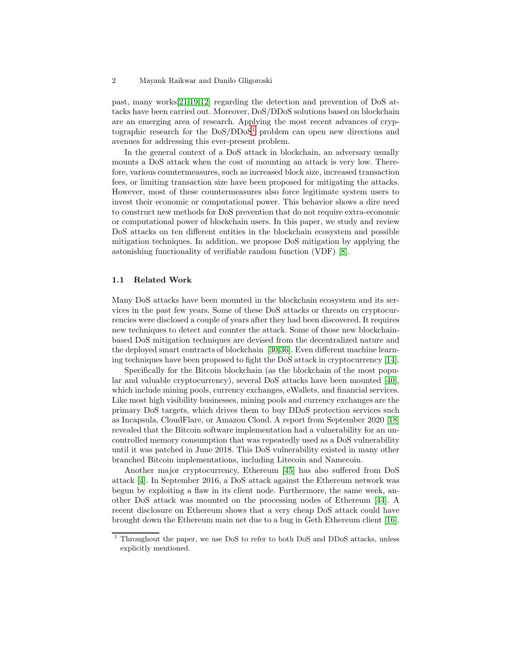past, many works[\[21](#page-10-1)[,19](#page-10-2)[,12\]](#page-9-1) regarding the detection and prevention of DoS attacks have been carried out. Moreover, DoS/DDoS solutions based on blockchain are an emerging area of research. Applying the most recent advances of cryptographic research for the  $DoS/DDoS<sup>1</sup>$  $DoS/DDoS<sup>1</sup>$  $DoS/DDoS<sup>1</sup>$  problem can open new directions and avenues for addressing this ever-present problem.

In the general context of a DoS attack in blockchain, an adversary usually mounts a DoS attack when the cost of mounting an attack is very low. Therefore, various countermeasures, such as increased block size, increased transaction fees, or limiting transaction size have been proposed for mitigating the attacks. However, most of these countermeasures also force legitimate system users to invest their economic or computational power. This behavior shows a dire need to construct new methods for DoS prevention that do not require extra-economic or computational power of blockchain users. In this paper, we study and review DoS attacks on ten different entities in the blockchain ecosystem and possible mitigation techniques. In addition, we propose DoS mitigation by applying the astonishing functionality of verifiable random function (VDF) [\[8\]](#page-9-2).

### 1.1 Related Work

Many DoS attacks have been mounted in the blockchain ecosystem and its services in the past few years. Some of these DoS attacks or threats on cryptocurrencies were disclosed a couple of years after they had been discovered. It requires new techniques to detect and counter the attack. Some of those new blockchainbased DoS mitigation techniques are devised from the decentralized nature and the deployed smart contracts of blockchain [\[30](#page-10-3)[,36\]](#page-11-2). Even different machine learning techniques have been proposed to fight the DoS attack in cryptocurrency [\[14\]](#page-10-4).

Specifically for the Bitcoin blockchain (as the blockchain of the most popular and valuable cryptocurrency), several DoS attacks have been mounted [\[40\]](#page-11-3), which include mining pools, currency exchanges, eWallets, and financial services. Like most high visibility businesses, mining pools and currency exchanges are the primary DoS targets, which drives them to buy DDoS protection services such as Incapsula, CloudFlare, or Amazon Cloud. A report from September 2020 [\[18\]](#page-10-5) revealed that the Bitcoin software implementation had a vulnerability for an uncontrolled memory consumption that was repeatedly used as a DoS vulnerability until it was patched in June 2018. This DoS vulnerability existed in many other branched Bitcoin implementations, including Litecoin and Namecoin.

Another major cryptocurrency, Ethereum [\[45\]](#page-11-4) has also suffered from DoS attack [\[4\]](#page-9-3). In September 2016, a DoS attack against the Ethereum network was begun by exploiting a flaw in its client node. Furthermore, the same week, another DoS attack was mounted on the processing nodes of Ethereum [\[44\]](#page-11-5). A recent disclosure on Ethereum shows that a very cheap DoS attack could have brought down the Ethereum main net due to a bug in Geth Ethereum client [\[16\]](#page-10-6).

<span id="page-1-0"></span><sup>&</sup>lt;sup>1</sup> Throughout the paper, we use DoS to refer to both DoS and DDoS attacks, unless explicitly mentioned.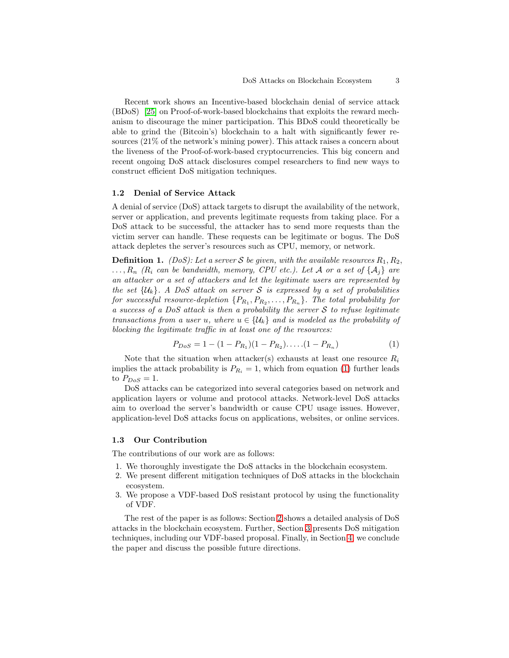Recent work shows an Incentive-based blockchain denial of service attack (BDoS) [\[25\]](#page-10-7) on Proof-of-work-based blockchains that exploits the reward mechanism to discourage the miner participation. This BDoS could theoretically be able to grind the (Bitcoin's) blockchain to a halt with significantly fewer resources (21% of the network's mining power). This attack raises a concern about the liveness of the Proof-of-work-based cryptocurrencies. This big concern and recent ongoing DoS attack disclosures compel researchers to find new ways to construct efficient DoS mitigation techniques.

### 1.2 Denial of Service Attack

A denial of service (DoS) attack targets to disrupt the availability of the network, server or application, and prevents legitimate requests from taking place. For a DoS attack to be successful, the attacker has to send more requests than the victim server can handle. These requests can be legitimate or bogus. The DoS attack depletes the server's resources such as CPU, memory, or network.

**Definition 1.** (DoS): Let a server S be given, with the available resources  $R_1, R_2$ ,  $\ldots, R_n$  ( $R_i$  can be bandwidth, memory, CPU etc.). Let A or a set of  $\{A_j\}$  are an attacker or a set of attackers and let the legitimate users are represented by the set  $\{\mathcal{U}_k\}$ . A DoS attack on server S is expressed by a set of probabilities for successful resource-depletion  $\{P_{R_1}, P_{R_2}, \ldots, P_{R_n}\}$ . The total probability for a success of a DoS attack is then a probability the server  $S$  to refuse legitimate transactions from a user u, where  $u \in \{U_k\}$  and is modeled as the probability of blocking the legitimate traffic in at least one of the resources:

<span id="page-2-0"></span>
$$
P_{DoS} = 1 - (1 - P_{R_1})(1 - P_{R_2}) \dots (1 - P_{R_n})
$$
\n<sup>(1)</sup>

Note that the situation when attacker(s) exhausts at least one resource  $R_i$ implies the attack probability is  $P_{R_i} = 1$ , which from equation [\(1\)](#page-2-0) further leads to  $P_{DoS} = 1$ .

DoS attacks can be categorized into several categories based on network and application layers or volume and protocol attacks. Network-level DoS attacks aim to overload the server's bandwidth or cause CPU usage issues. However, application-level DoS attacks focus on applications, websites, or online services.

#### 1.3 Our Contribution

The contributions of our work are as follows:

- 1. We thoroughly investigate the DoS attacks in the blockchain ecosystem.
- 2. We present different mitigation techniques of DoS attacks in the blockchain ecosystem.
- 3. We propose a VDF-based DoS resistant protocol by using the functionality of VDF.

The rest of the paper is as follows: Section [2](#page-3-0) shows a detailed analysis of DoS attacks in the blockchain ecosystem. Further, Section [3](#page-6-0) presents DoS mitigation techniques, including our VDF-based proposal. Finally, in Section [4,](#page-9-4) we conclude the paper and discuss the possible future directions.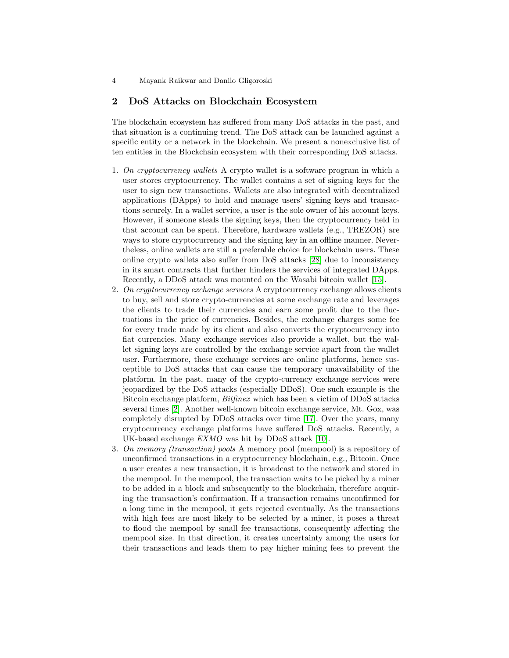### <span id="page-3-0"></span>2 DoS Attacks on Blockchain Ecosystem

The blockchain ecosystem has suffered from many DoS attacks in the past, and that situation is a continuing trend. The DoS attack can be launched against a specific entity or a network in the blockchain. We present a nonexclusive list of ten entities in the Blockchain ecosystem with their corresponding DoS attacks.

- 1. On cryptocurrency wallets A crypto wallet is a software program in which a user stores cryptocurrency. The wallet contains a set of signing keys for the user to sign new transactions. Wallets are also integrated with decentralized applications (DApps) to hold and manage users' signing keys and transactions securely. In a wallet service, a user is the sole owner of his account keys. However, if someone steals the signing keys, then the cryptocurrency held in that account can be spent. Therefore, hardware wallets (e.g., TREZOR) are ways to store cryptocurrency and the signing key in an offline manner. Nevertheless, online wallets are still a preferable choice for blockchain users. These online crypto wallets also suffer from DoS attacks [\[28\]](#page-10-8) due to inconsistency in its smart contracts that further hinders the services of integrated DApps. Recently, a DDoS attack was mounted on the Wasabi bitcoin wallet [\[15\]](#page-10-9).
- 2. On cryptocurrency exchange services A cryptocurrency exchange allows clients to buy, sell and store crypto-currencies at some exchange rate and leverages the clients to trade their currencies and earn some profit due to the fluctuations in the price of currencies. Besides, the exchange charges some fee for every trade made by its client and also converts the cryptocurrency into fiat currencies. Many exchange services also provide a wallet, but the wallet signing keys are controlled by the exchange service apart from the wallet user. Furthermore, these exchange services are online platforms, hence susceptible to DoS attacks that can cause the temporary unavailability of the platform. In the past, many of the crypto-currency exchange services were jeopardized by the DoS attacks (especially DDoS). One such example is the Bitcoin exchange platform, Bitfinex which has been a victim of DDoS attacks several times [\[2\]](#page-9-5). Another well-known bitcoin exchange service, Mt. Gox, was completely disrupted by DDoS attacks over time [\[17\]](#page-10-10). Over the years, many cryptocurrency exchange platforms have suffered DoS attacks. Recently, a UK-based exchange EXMO was hit by DDoS attack [\[10\]](#page-9-6).
- 3. On memory (transaction) pools A memory pool (mempool) is a repository of unconfirmed transactions in a cryptocurrency blockchain, e.g., Bitcoin. Once a user creates a new transaction, it is broadcast to the network and stored in the mempool. In the mempool, the transaction waits to be picked by a miner to be added in a block and subsequently to the blockchain, therefore acquiring the transaction's confirmation. If a transaction remains unconfirmed for a long time in the mempool, it gets rejected eventually. As the transactions with high fees are most likely to be selected by a miner, it poses a threat to flood the mempool by small fee transactions, consequently affecting the mempool size. In that direction, it creates uncertainty among the users for their transactions and leads them to pay higher mining fees to prevent the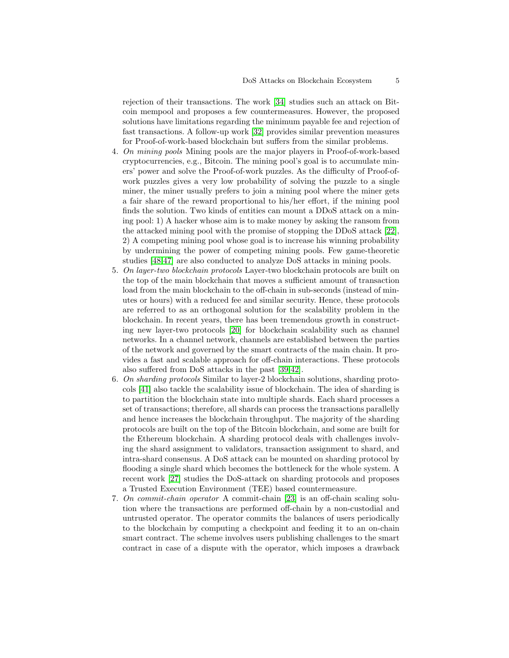rejection of their transactions. The work [\[34\]](#page-11-6) studies such an attack on Bitcoin mempool and proposes a few countermeasures. However, the proposed solutions have limitations regarding the minimum payable fee and rejection of fast transactions. A follow-up work [\[32\]](#page-11-7) provides similar prevention measures for Proof-of-work-based blockchain but suffers from the similar problems.

- 4. On mining pools Mining pools are the major players in Proof-of-work-based cryptocurrencies, e.g., Bitcoin. The mining pool's goal is to accumulate miners' power and solve the Proof-of-work puzzles. As the difficulty of Proof-ofwork puzzles gives a very low probability of solving the puzzle to a single miner, the miner usually prefers to join a mining pool where the miner gets a fair share of the reward proportional to his/her effort, if the mining pool finds the solution. Two kinds of entities can mount a DDoS attack on a mining pool: 1) A hacker whose aim is to make money by asking the ransom from the attacked mining pool with the promise of stopping the DDoS attack [\[22\]](#page-10-11), 2) A competing mining pool whose goal is to increase his winning probability by undermining the power of competing mining pools. Few game-theoretic studies [\[48,](#page-11-8)[47\]](#page-11-9) are also conducted to analyze DoS attacks in mining pools.
- 5. On layer-two blockchain protocols Layer-two blockchain protocols are built on the top of the main blockchain that moves a sufficient amount of transaction load from the main blockchain to the off-chain in sub-seconds (instead of minutes or hours) with a reduced fee and similar security. Hence, these protocols are referred to as an orthogonal solution for the scalability problem in the blockchain. In recent years, there has been tremendous growth in constructing new layer-two protocols [\[20\]](#page-10-12) for blockchain scalability such as channel networks. In a channel network, channels are established between the parties of the network and governed by the smart contracts of the main chain. It provides a fast and scalable approach for off-chain interactions. These protocols also suffered from DoS attacks in the past [\[39,](#page-11-10)[42\]](#page-11-11).
- 6. On sharding protocols Similar to layer-2 blockchain solutions, sharding protocols [\[41\]](#page-11-12) also tackle the scalability issue of blockchain. The idea of sharding is to partition the blockchain state into multiple shards. Each shard processes a set of transactions; therefore, all shards can process the transactions parallelly and hence increases the blockchain throughput. The majority of the sharding protocols are built on the top of the Bitcoin blockchain, and some are built for the Ethereum blockchain. A sharding protocol deals with challenges involving the shard assignment to validators, transaction assignment to shard, and intra-shard consensus. A DoS attack can be mounted on sharding protocol by flooding a single shard which becomes the bottleneck for the whole system. A recent work [\[27\]](#page-10-13) studies the DoS-attack on sharding protocols and proposes a Trusted Execution Environment (TEE) based countermeasure.
- 7. On commit-chain operator A commit-chain [\[23\]](#page-10-14) is an off-chain scaling solution where the transactions are performed off-chain by a non-custodial and untrusted operator. The operator commits the balances of users periodically to the blockchain by computing a checkpoint and feeding it to an on-chain smart contract. The scheme involves users publishing challenges to the smart contract in case of a dispute with the operator, which imposes a drawback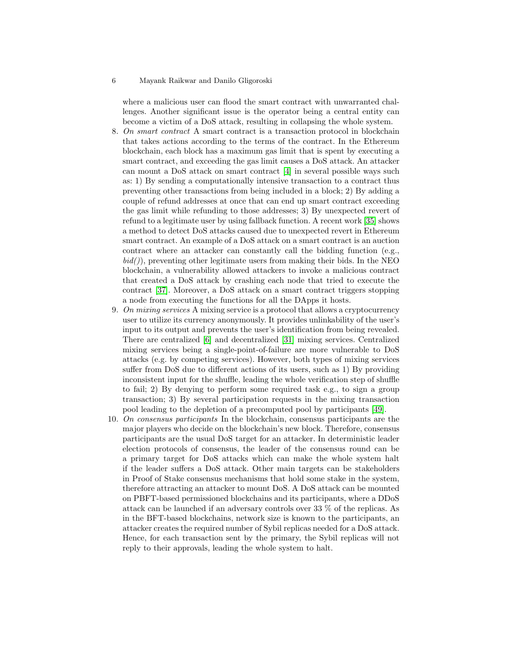where a malicious user can flood the smart contract with unwarranted challenges. Another significant issue is the operator being a central entity can become a victim of a DoS attack, resulting in collapsing the whole system.

- 8. On smart contract A smart contract is a transaction protocol in blockchain that takes actions according to the terms of the contract. In the Ethereum blockchain, each block has a maximum gas limit that is spent by executing a smart contract, and exceeding the gas limit causes a DoS attack. An attacker can mount a DoS attack on smart contract [\[4\]](#page-9-3) in several possible ways such as: 1) By sending a computationally intensive transaction to a contract thus preventing other transactions from being included in a block; 2) By adding a couple of refund addresses at once that can end up smart contract exceeding the gas limit while refunding to those addresses; 3) By unexpected revert of refund to a legitimate user by using fallback function. A recent work [\[35\]](#page-11-13) shows a method to detect DoS attacks caused due to unexpected revert in Ethereum smart contract. An example of a DoS attack on a smart contract is an auction contract where an attacker can constantly call the bidding function (e.g.,  $bid(),$  preventing other legitimate users from making their bids. In the NEO blockchain, a vulnerability allowed attackers to invoke a malicious contract that created a DoS attack by crashing each node that tried to execute the contract [\[37\]](#page-11-14). Moreover, a DoS attack on a smart contract triggers stopping a node from executing the functions for all the DApps it hosts.
- 9. On mixing services A mixing service is a protocol that allows a cryptocurrency user to utilize its currency anonymously. It provides unlinkability of the user's input to its output and prevents the user's identification from being revealed. There are centralized [\[6\]](#page-9-7) and decentralized [\[31\]](#page-10-15) mixing services. Centralized mixing services being a single-point-of-failure are more vulnerable to DoS attacks (e.g. by competing services). However, both types of mixing services suffer from DoS due to different actions of its users, such as 1) By providing inconsistent input for the shuffle, leading the whole verification step of shuffle to fail; 2) By denying to perform some required task e.g., to sign a group transaction; 3) By several participation requests in the mixing transaction pool leading to the depletion of a precomputed pool by participants [\[49\]](#page-11-15).
- 10. On consensus participants In the blockchain, consensus participants are the major players who decide on the blockchain's new block. Therefore, consensus participants are the usual DoS target for an attacker. In deterministic leader election protocols of consensus, the leader of the consensus round can be a primary target for DoS attacks which can make the whole system halt if the leader suffers a DoS attack. Other main targets can be stakeholders in Proof of Stake consensus mechanisms that hold some stake in the system, therefore attracting an attacker to mount DoS. A DoS attack can be mounted on PBFT-based permissioned blockchains and its participants, where a DDoS attack can be launched if an adversary controls over 33 % of the replicas. As in the BFT-based blockchains, network size is known to the participants, an attacker creates the required number of Sybil replicas needed for a DoS attack. Hence, for each transaction sent by the primary, the Sybil replicas will not reply to their approvals, leading the whole system to halt.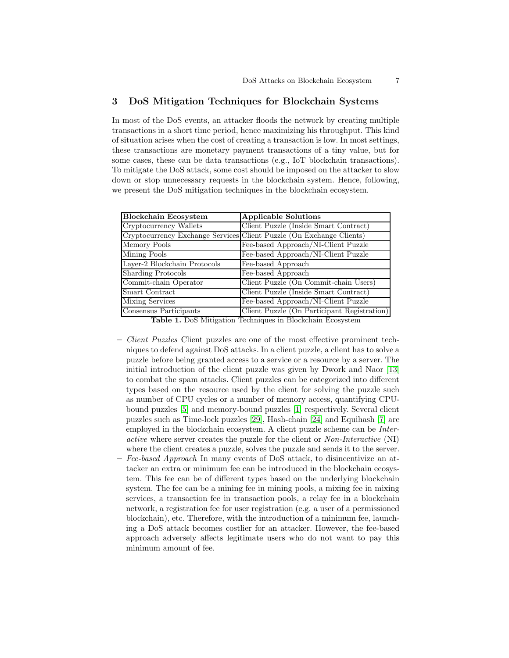## <span id="page-6-0"></span>3 DoS Mitigation Techniques for Blockchain Systems

In most of the DoS events, an attacker floods the network by creating multiple transactions in a short time period, hence maximizing his throughput. This kind of situation arises when the cost of creating a transaction is low. In most settings, these transactions are monetary payment transactions of a tiny value, but for some cases, these can be data transactions (e.g., IoT blockchain transactions). To mitigate the DoS attack, some cost should be imposed on the attacker to slow down or stop unnecessary requests in the blockchain system. Hence, following, we present the DoS mitigation techniques in the blockchain ecosystem.

| <b>Blockchain Ecosystem</b>                                                                                                                                                                                                                                                                                                                                                                                                                                                                                     | <b>Applicable Solutions</b>                                                                                                       |
|-----------------------------------------------------------------------------------------------------------------------------------------------------------------------------------------------------------------------------------------------------------------------------------------------------------------------------------------------------------------------------------------------------------------------------------------------------------------------------------------------------------------|-----------------------------------------------------------------------------------------------------------------------------------|
| Cryptocurrency Wallets                                                                                                                                                                                                                                                                                                                                                                                                                                                                                          | Client Puzzle (Inside Smart Contract)                                                                                             |
|                                                                                                                                                                                                                                                                                                                                                                                                                                                                                                                 | Cryptocurrency Exchange Services Client Puzzle (On Exchange Clients)                                                              |
| Memory Pools                                                                                                                                                                                                                                                                                                                                                                                                                                                                                                    | Fee-based Approach/NI-Client Puzzle                                                                                               |
| Mining Pools                                                                                                                                                                                                                                                                                                                                                                                                                                                                                                    | Fee-based Approach/NI-Client Puzzle                                                                                               |
| Layer-2 Blockchain Protocols                                                                                                                                                                                                                                                                                                                                                                                                                                                                                    | Fee-based Approach                                                                                                                |
| <b>Sharding Protocols</b>                                                                                                                                                                                                                                                                                                                                                                                                                                                                                       | Fee-based Approach                                                                                                                |
| Commit-chain Operator                                                                                                                                                                                                                                                                                                                                                                                                                                                                                           | Client Puzzle (On Commit-chain Users)                                                                                             |
| Smart Contract                                                                                                                                                                                                                                                                                                                                                                                                                                                                                                  | Client Puzzle (Inside Smart Contract)                                                                                             |
| Mixing Services                                                                                                                                                                                                                                                                                                                                                                                                                                                                                                 | Fee-based Approach/NI-Client Puzzle                                                                                               |
| Consensus Participants<br>$\blacksquare$ 11 1 $\blacksquare$ $\blacksquare$ $\blacksquare$ $\blacksquare$ $\blacksquare$ $\blacksquare$ $\blacksquare$ $\blacksquare$ $\blacksquare$ $\blacksquare$ $\blacksquare$ $\blacksquare$ $\blacksquare$ $\blacksquare$ $\blacksquare$ $\blacksquare$ $\blacksquare$ $\blacksquare$ $\blacksquare$ $\blacksquare$ $\blacksquare$ $\blacksquare$ $\blacksquare$ $\blacksquare$ $\blacksquare$ $\blacksquare$ $\blacksquare$ $\blacksquare$ $\blacksquare$ $\blacksquare$ | Client Puzzle (On Participant Registration)<br>$\overline{m}$ , $\overline{m}$ , $\overline{m}$ , $\overline{m}$ , $\overline{m}$ |

<span id="page-6-1"></span>Table 1. DoS Mitigation Techniques in Blockchain Ecosystem

- Client Puzzles Client puzzles are one of the most effective prominent techniques to defend against DoS attacks. In a client puzzle, a client has to solve a puzzle before being granted access to a service or a resource by a server. The initial introduction of the client puzzle was given by Dwork and Naor [\[13\]](#page-9-8) to combat the spam attacks. Client puzzles can be categorized into different types based on the resource used by the client for solving the puzzle such as number of CPU cycles or a number of memory access, quantifying CPUbound puzzles [\[5\]](#page-9-9) and memory-bound puzzles [\[1\]](#page-9-10) respectively. Several client puzzles such as Time-lock puzzles [\[29\]](#page-10-16), Hash-chain [\[24\]](#page-10-17) and Equihash [\[7\]](#page-9-11) are employed in the blockchain ecosystem. A client puzzle scheme can be Interactive where server creates the puzzle for the client or Non-Interactive (NI) where the client creates a puzzle, solves the puzzle and sends it to the server.
- $-$  Fee-based Approach In many events of DoS attack, to disincentivize an attacker an extra or minimum fee can be introduced in the blockchain ecosystem. This fee can be of different types based on the underlying blockchain system. The fee can be a mining fee in mining pools, a mixing fee in mixing services, a transaction fee in transaction pools, a relay fee in a blockchain network, a registration fee for user registration (e.g. a user of a permissioned blockchain), etc. Therefore, with the introduction of a minimum fee, launching a DoS attack becomes costlier for an attacker. However, the fee-based approach adversely affects legitimate users who do not want to pay this minimum amount of fee.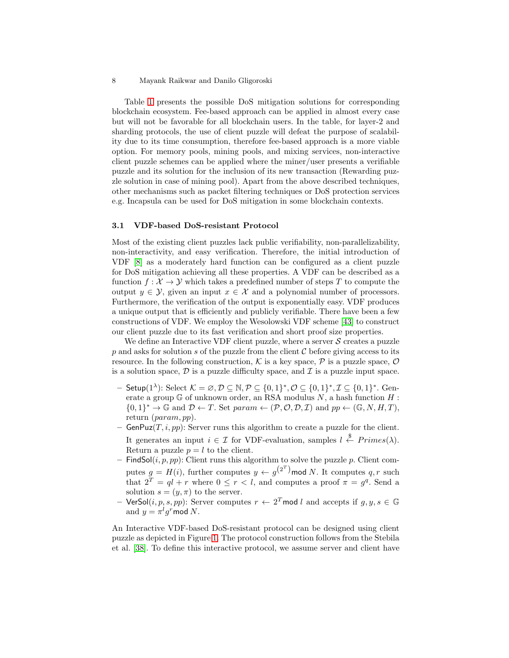Table [1](#page-6-1) presents the possible DoS mitigation solutions for corresponding blockchain ecosystem. Fee-based approach can be applied in almost every case but will not be favorable for all blockchain users. In the table, for layer-2 and sharding protocols, the use of client puzzle will defeat the purpose of scalability due to its time consumption, therefore fee-based approach is a more viable option. For memory pools, mining pools, and mixing services, non-interactive client puzzle schemes can be applied where the miner/user presents a verifiable puzzle and its solution for the inclusion of its new transaction (Rewarding puzzle solution in case of mining pool). Apart from the above described techniques, other mechanisms such as packet filtering techniques or DoS protection services e.g. Incapsula can be used for DoS mitigation in some blockchain contexts.

### 3.1 VDF-based DoS-resistant Protocol

Most of the existing client puzzles lack public verifiability, non-parallelizability, non-interactivity, and easy verification. Therefore, the initial introduction of VDF [\[8\]](#page-9-2) as a moderately hard function can be configured as a client puzzle for DoS mitigation achieving all these properties. A VDF can be described as a function  $f: \mathcal{X} \to \mathcal{Y}$  which takes a predefined number of steps T to compute the output  $y \in \mathcal{Y}$ , given an input  $x \in \mathcal{X}$  and a polynomial number of processors. Furthermore, the verification of the output is exponentially easy. VDF produces a unique output that is efficiently and publicly verifiable. There have been a few constructions of VDF. We employ the Wesolowski VDF scheme [\[43\]](#page-11-16) to construct our client puzzle due to its fast verification and short proof size properties.

We define an Interactive VDF client puzzle, where a server  $S$  creates a puzzle  $p$  and asks for solution s of the puzzle from the client  $\mathcal C$  before giving access to its resource. In the following construction,  $K$  is a key space,  $P$  is a puzzle space,  $O$ is a solution space,  $\mathcal D$  is a puzzle difficulty space, and  $\mathcal I$  is a puzzle input space.

- Setup(1<sup> $\lambda$ </sup>): Select  $\mathcal{K} = \emptyset, \mathcal{D} \subseteq \mathbb{N}, \mathcal{P} \subseteq \{0,1\}^*, \mathcal{O} \subseteq \{0,1\}^*, \mathcal{I} \subseteq \{0,1\}^*.$  Generate a group  $\mathbb G$  of unknown order, an RSA modulus  $N$ , a hash function  $H$ :  $\{0,1\}^* \to \mathbb{G}$  and  $\mathcal{D} \leftarrow T$ . Set param  $\leftarrow (\mathcal{P}, \mathcal{O}, \mathcal{D}, \mathcal{I})$  and  $pp \leftarrow (\mathbb{G}, N, H, T)$ , return (param, pp).
- GenPuz $(T, i, pp)$ : Server runs this algorithm to create a puzzle for the client. It generates an input  $i \in \mathcal{I}$  for VDF-evaluation, samples  $l \stackrel{\$}{\leftarrow} Primes(\lambda)$ . Return a puzzle  $p = l$  to the client.
- $-$  FindSol $(i, p, pp)$ : Client runs this algorithm to solve the puzzle p. Client computes  $g = H(i)$ , further computes  $y \leftarrow g^{(2^T)}$  mod N. It computes  $q, r$  such that  $2^T = ql + r$  where  $0 \le r < l$ , and computes a proof  $\pi = g^q$ . Send a solution  $s = (y, \pi)$  to the server.
- VerSol $(i, p, s, pp)$ : Server computes  $r \leftarrow 2^T$ mod l and accepts if  $g, y, s \in \mathbb{G}$ and  $y = \pi^l g^r \text{mod } N$ .

An Interactive VDF-based DoS-resistant protocol can be designed using client puzzle as depicted in Figure [1.](#page-8-0) The protocol construction follows from the Stebila et al. [\[38\]](#page-11-17). To define this interactive protocol, we assume server and client have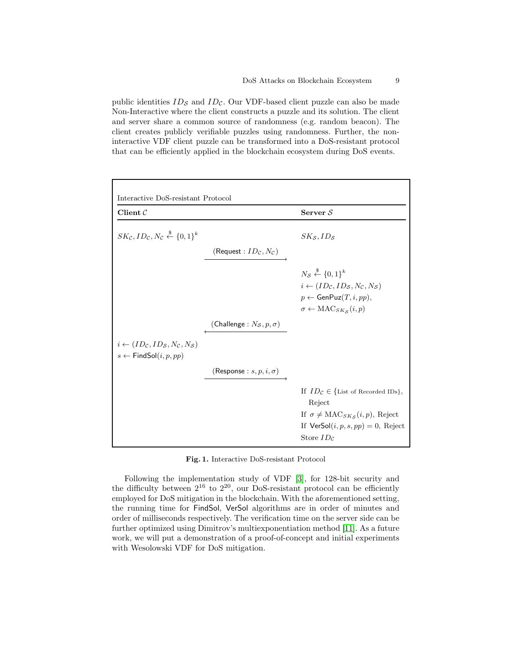public identities  $ID_{\mathcal{S}}$  and  $ID_{\mathcal{C}}$ . Our VDF-based client puzzle can also be made Non-Interactive where the client constructs a puzzle and its solution. The client and server share a common source of randomness (e.g. random beacon). The client creates publicly verifiable puzzles using randomness. Further, the noninteractive VDF client puzzle can be transformed into a DoS-resistant protocol that can be efficiently applied in the blockchain ecosystem during DoS events.

| Client $C$                                                                                                                   |                                             | Server $S$                                                                                 |
|------------------------------------------------------------------------------------------------------------------------------|---------------------------------------------|--------------------------------------------------------------------------------------------|
| $SK_{\mathcal{C}}, ID_{\mathcal{C}}, N_{\mathcal{C}} \stackrel{\$}{\leftarrow} \{0,1\}^k$                                    |                                             | $SK_S, ID_S$                                                                               |
|                                                                                                                              | (Request : $ID_c, N_c$ )                    |                                                                                            |
|                                                                                                                              |                                             | $N_{\mathcal{S}} \stackrel{\$}{\leftarrow} \{0,1\}^k$                                      |
|                                                                                                                              |                                             | $i \leftarrow (ID_{\mathcal{C}}, ID_{\mathcal{S}}, N_{\mathcal{C}}, N_{\mathcal{S}})$      |
|                                                                                                                              |                                             | $p \leftarrow$ GenPuz $(T, i, pp)$ ,                                                       |
|                                                                                                                              |                                             | $\sigma \leftarrow \text{MAC}_{SK,s}(i, p)$                                                |
|                                                                                                                              | (Challenge : $N_{\mathcal{S}}, p, \sigma$ ) |                                                                                            |
| $i \leftarrow (ID_{\mathcal{C}}, ID_{\mathcal{S}}, N_{\mathcal{C}}, N_{\mathcal{S}})$<br>$s \leftarrow$ FindSol $(i, p, pp)$ |                                             |                                                                                            |
|                                                                                                                              | (Response : $s, p, i, \sigma$ )             |                                                                                            |
|                                                                                                                              |                                             | If $ID_{\mathcal{C}} \in \{\text{List of Recorded IDs}\},\$                                |
|                                                                                                                              |                                             | Reject                                                                                     |
|                                                                                                                              |                                             | If $\sigma \neq \text{MAC}_{SK_S}(i, p)$ , Reject<br>If $VerSol(i, p, s, pp) = 0$ , Reject |
|                                                                                                                              |                                             | Store $ID_{\mathcal{C}}$                                                                   |

<span id="page-8-0"></span>Fig. 1. Interactive DoS-resistant Protocol

Following the implementation study of VDF [\[3\]](#page-9-12), for 128-bit security and the difficulty between  $2^{16}$  to  $2^{20}$ , our DoS-resistant protocol can be efficiently employed for DoS mitigation in the blockchain. With the aforementioned setting, the running time for FindSol, VerSol algorithms are in order of minutes and order of milliseconds respectively. The verification time on the server side can be further optimized using Dimitrov's multiexponentiation method [\[11\]](#page-9-13). As a future work, we will put a demonstration of a proof-of-concept and initial experiments with Wesolowski VDF for DoS mitigation.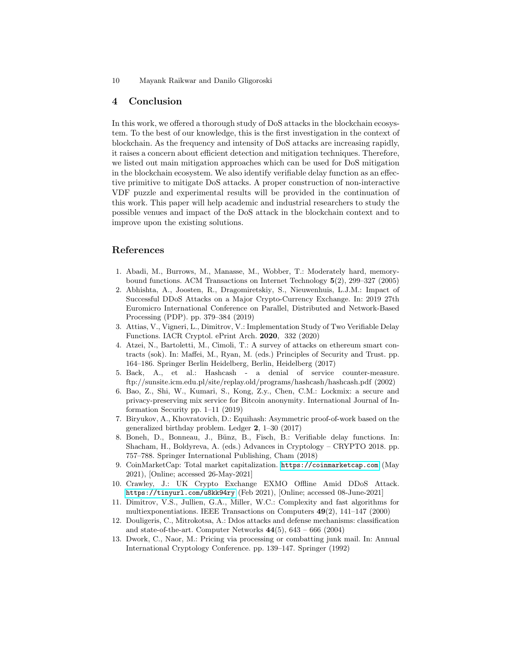### <span id="page-9-4"></span>4 Conclusion

In this work, we offered a thorough study of DoS attacks in the blockchain ecosystem. To the best of our knowledge, this is the first investigation in the context of blockchain. As the frequency and intensity of DoS attacks are increasing rapidly, it raises a concern about efficient detection and mitigation techniques. Therefore, we listed out main mitigation approaches which can be used for DoS mitigation in the blockchain ecosystem. We also identify verifiable delay function as an effective primitive to mitigate DoS attacks. A proper construction of non-interactive VDF puzzle and experimental results will be provided in the continuation of this work. This paper will help academic and industrial researchers to study the possible venues and impact of the DoS attack in the blockchain context and to improve upon the existing solutions.

## <span id="page-9-10"></span>References

- 1. Abadi, M., Burrows, M., Manasse, M., Wobber, T.: Moderately hard, memorybound functions. ACM Transactions on Internet Technology 5(2), 299–327 (2005)
- <span id="page-9-5"></span>2. Abhishta, A., Joosten, R., Dragomiretskiy, S., Nieuwenhuis, L.J.M.: Impact of Successful DDoS Attacks on a Major Crypto-Currency Exchange. In: 2019 27th Euromicro International Conference on Parallel, Distributed and Network-Based Processing (PDP). pp. 379–384 (2019)
- <span id="page-9-12"></span>3. Attias, V., Vigneri, L., Dimitrov, V.: Implementation Study of Two Verifiable Delay Functions. IACR Cryptol. ePrint Arch. 2020, 332 (2020)
- <span id="page-9-3"></span>4. Atzei, N., Bartoletti, M., Cimoli, T.: A survey of attacks on ethereum smart contracts (sok). In: Maffei, M., Ryan, M. (eds.) Principles of Security and Trust. pp. 164–186. Springer Berlin Heidelberg, Berlin, Heidelberg (2017)
- <span id="page-9-9"></span>5. Back, A., et al.: Hashcash - a denial of service counter-measure. ftp://sunsite.icm.edu.pl/site/replay.old/programs/hashcash/hashcash.pdf (2002)
- <span id="page-9-7"></span>6. Bao, Z., Shi, W., Kumari, S., Kong, Z.y., Chen, C.M.: Lockmix: a secure and privacy-preserving mix service for Bitcoin anonymity. International Journal of Information Security pp. 1–11 (2019)
- <span id="page-9-11"></span>7. Biryukov, A., Khovratovich, D.: Equihash: Asymmetric proof-of-work based on the generalized birthday problem. Ledger 2, 1–30 (2017)
- <span id="page-9-2"></span>8. Boneh, D., Bonneau, J., Bünz, B., Fisch, B.: Verifiable delay functions. In: Shacham, H., Boldyreva, A. (eds.) Advances in Cryptology – CRYPTO 2018. pp. 757–788. Springer International Publishing, Cham (2018)
- <span id="page-9-0"></span>9. CoinMarketCap: Total market capitalization. <https://coinmarketcap.com> (May 2021), [Online; accessed 26-May-2021]
- <span id="page-9-6"></span>10. Crawley, J.: UK Crypto Exchange EXMO Offline Amid DDoS Attack. <https://tinyurl.com/u8kk94ry> (Feb 2021), [Online; accessed 08-June-2021]
- <span id="page-9-13"></span>11. Dimitrov, V.S., Jullien, G.A., Miller, W.C.: Complexity and fast algorithms for multiexponentiations. IEEE Transactions on Computers 49(2), 141–147 (2000)
- <span id="page-9-1"></span>12. Douligeris, C., Mitrokotsa, A.: Ddos attacks and defense mechanisms: classification and state-of-the-art. Computer Networks  $44(5)$ ,  $643 - 666$  (2004)
- <span id="page-9-8"></span>13. Dwork, C., Naor, M.: Pricing via processing or combatting junk mail. In: Annual International Cryptology Conference. pp. 139–147. Springer (1992)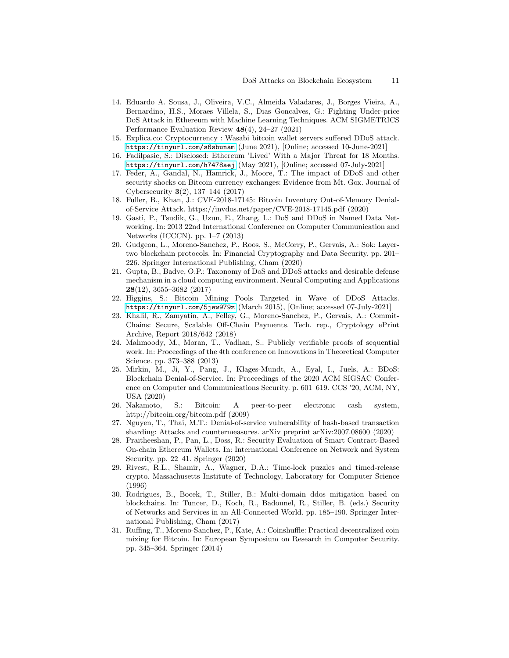- <span id="page-10-4"></span>14. Eduardo A. Sousa, J., Oliveira, V.C., Almeida Valadares, J., Borges Vieira, A., Bernardino, H.S., Moraes Villela, S., Dias Goncalves, G.: Fighting Under-price DoS Attack in Ethereum with Machine Learning Techniques. ACM SIGMETRICS Performance Evaluation Review 48(4), 24–27 (2021)
- <span id="page-10-9"></span>15. Explica.co: Cryptocurrency : Wasabi bitcoin wallet servers suffered DDoS attack. <https://tinyurl.com/s6sbunam> (June 2021), [Online; accessed 10-June-2021]
- <span id="page-10-6"></span>16. Fadilpasic, S.: Disclosed: Ethereum 'Lived' With a Major Threat for 18 Months. <https://tinyurl.com/h7478aej> (May 2021), [Online; accessed 07-July-2021]
- <span id="page-10-10"></span>17. Feder, A., Gandal, N., Hamrick, J., Moore, T.: The impact of DDoS and other security shocks on Bitcoin currency exchanges: Evidence from Mt. Gox. Journal of Cybersecurity 3(2), 137–144 (2017)
- <span id="page-10-5"></span>18. Fuller, B., Khan, J.: CVE-2018-17145: Bitcoin Inventory Out-of-Memory Denialof-Service Attack. https://invdos.net/paper/CVE-2018-17145.pdf (2020)
- <span id="page-10-2"></span>19. Gasti, P., Tsudik, G., Uzun, E., Zhang, L.: DoS and DDoS in Named Data Networking. In: 2013 22nd International Conference on Computer Communication and Networks (ICCCN). pp. 1–7 (2013)
- <span id="page-10-12"></span>20. Gudgeon, L., Moreno-Sanchez, P., Roos, S., McCorry, P., Gervais, A.: Sok: Layertwo blockchain protocols. In: Financial Cryptography and Data Security. pp. 201– 226. Springer International Publishing, Cham (2020)
- <span id="page-10-1"></span>21. Gupta, B., Badve, O.P.: Taxonomy of DoS and DDoS attacks and desirable defense mechanism in a cloud computing environment. Neural Computing and Applications 28(12), 3655–3682 (2017)
- <span id="page-10-11"></span>22. Higgins, S.: Bitcoin Mining Pools Targeted in Wave of DDoS Attacks. <https://tinyurl.com/5jew979z> (March 2015), [Online; accessed 07-July-2021]
- <span id="page-10-14"></span>23. Khalil, R., Zamyatin, A., Felley, G., Moreno-Sanchez, P., Gervais, A.: Commit-Chains: Secure, Scalable Off-Chain Payments. Tech. rep., Cryptology ePrint Archive, Report 2018/642 (2018)
- <span id="page-10-17"></span>24. Mahmoody, M., Moran, T., Vadhan, S.: Publicly verifiable proofs of sequential work. In: Proceedings of the 4th conference on Innovations in Theoretical Computer Science. pp. 373–388 (2013)
- <span id="page-10-7"></span>25. Mirkin, M., Ji, Y., Pang, J., Klages-Mundt, A., Eyal, I., Juels, A.: BDoS: Blockchain Denial-of-Service. In: Proceedings of the 2020 ACM SIGSAC Conference on Computer and Communications Security. p. 601–619. CCS '20, ACM, NY, USA (2020)
- <span id="page-10-0"></span>26. Nakamoto, S.: Bitcoin: A peer-to-peer electronic cash system, http://bitcoin.org/bitcoin.pdf (2009)
- <span id="page-10-13"></span>27. Nguyen, T., Thai, M.T.: Denial-of-service vulnerability of hash-based transaction sharding: Attacks and countermeasures. arXiv preprint arXiv:2007.08600 (2020)
- <span id="page-10-8"></span>28. Praitheeshan, P., Pan, L., Doss, R.: Security Evaluation of Smart Contract-Based On-chain Ethereum Wallets. In: International Conference on Network and System Security. pp. 22–41. Springer (2020)
- <span id="page-10-16"></span>29. Rivest, R.L., Shamir, A., Wagner, D.A.: Time-lock puzzles and timed-release crypto. Massachusetts Institute of Technology, Laboratory for Computer Science (1996)
- <span id="page-10-3"></span>30. Rodrigues, B., Bocek, T., Stiller, B.: Multi-domain ddos mitigation based on blockchains. In: Tuncer, D., Koch, R., Badonnel, R., Stiller, B. (eds.) Security of Networks and Services in an All-Connected World. pp. 185–190. Springer International Publishing, Cham (2017)
- <span id="page-10-15"></span>31. Ruffing, T., Moreno-Sanchez, P., Kate, A.: Coinshuffle: Practical decentralized coin mixing for Bitcoin. In: European Symposium on Research in Computer Security. pp. 345–364. Springer (2014)